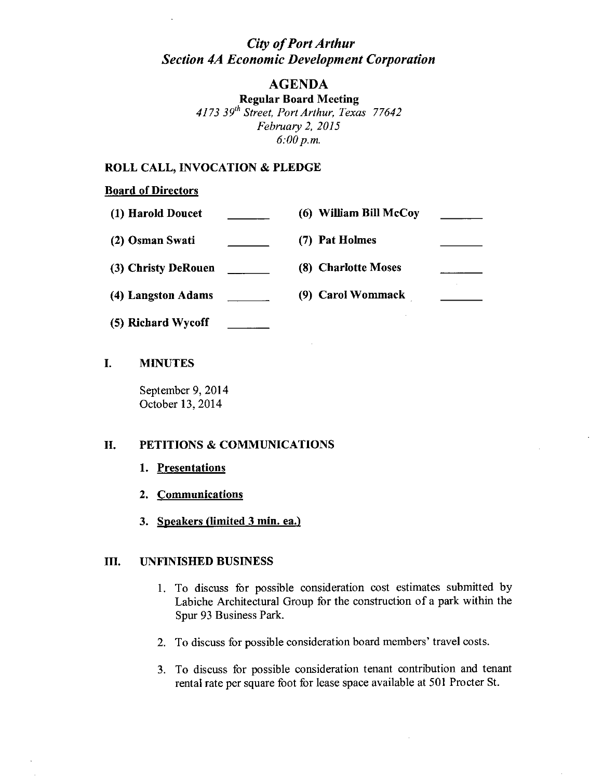# *City of Port Arthur Section 4A Economic Development Corporation*

## AGENDA

Regular Board Meeting *4173 39th Street, Port Arthur, Texas 77642 February 2,2015 6:00p.m.*

#### ROLL CALL, INVOCATION & PLEDGE

#### Board of Directors

| (1) Harold Doucet   | (6) William Bill McCoy |  |
|---------------------|------------------------|--|
| (2) Osman Swati     | (7) Pat Holmes         |  |
| (3) Christy DeRouen | (8) Charlotte Moses    |  |
| (4) Langston Adams  | (9) Carol Wommack      |  |
|                     |                        |  |

(5) Richard Wycoff

### I. MINUTES

September 9, 2014 October 13, 2014

### II. PETITIONS & COMMUNICATIONS

- 1. Presentations
- 2. Communications
- 3. Speakers (limited 3 min. ea.)

#### III. UNFINISHED BUSINESS

- 1. To discuss for possible consideration cost estimates submitted by Labiche Architectural Group for the construction of a park within the Spur 93 Business Park.
- 2. To discuss for possible consideration board members' travel costs.
- 3. To discuss for possible consideration tenant contribution and tenant rental rate per square foot for lease space available at 501 Procter St.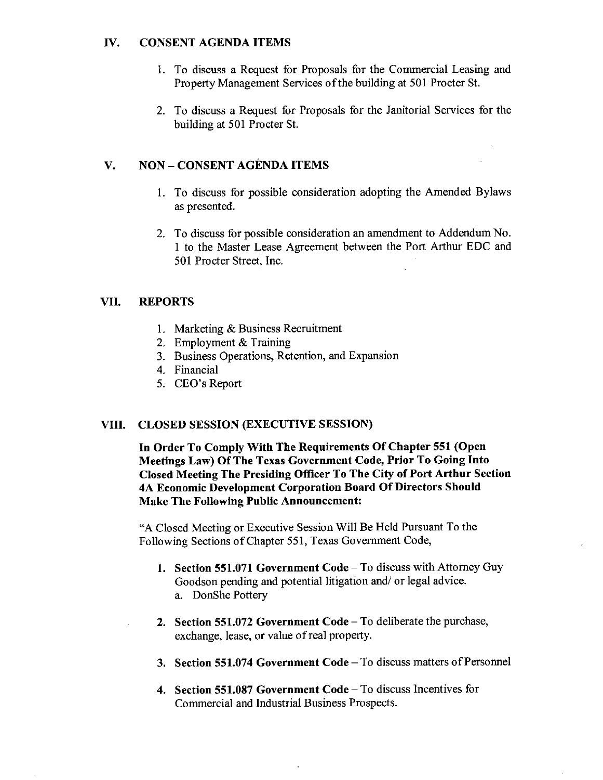### IV. CONSENT AGENDA ITEMS

- 1. To discuss a Request for Proposals for the Commercial Leasing and Property Management Services 0f the building at 501 Procter St.
- 2. To discuss a Request for Proposals for the Janitorial Services for the building at 501 Procter St.

## V. NON - CONSENT AGENDA ITEMS

- 1. To discuss for possible consideration adopting the Amended Bylaws as presented.
- 2. To discuss for possible consideration an amendment to Addendum No. 1 to the Master Lease Agreement between the Port Arthur EDC and 501 Procter Street, Inc.

## VII. REPORTS

- 1. Marketing & Business Recruitment
- 2. Employment & Training
- 3. Business Operations, Retention, and Expansion
- 4. Financial
- 5. CEO's Report

## VIII. CLOSED SESSION (EXECUTIVE SESSION)

In Order To Comply With The Requirements Of Chapter 551 (Open Meetings Law) Of The Texas Government Code, Prior To Going Into Closed Meeting The Presiding Officer To The City of Port Arthur Section 4A Economic Development Corporation Board Of Directors Should Make The Following Public Announcement:

"A Closed Meeting or Executive Session Will Be Held Pursuant To the Following Sections of Chapter 551, Texas Government Code,

- 1. Section 551.071 Government Code To discuss with Attorney Guy Goodson pending and potential litigation and/ or legal advice. a. DonShe Pottery
- 2. Section 551.072 Government Code To deliberate the purchase, exchange, lease, or value of real property.
- 3. Section 551.074 Government Code To discuss matters of Personnel
- 4. Section 551.087 Government Code To discuss Incentives for Commercial and Industrial Business Prospects.